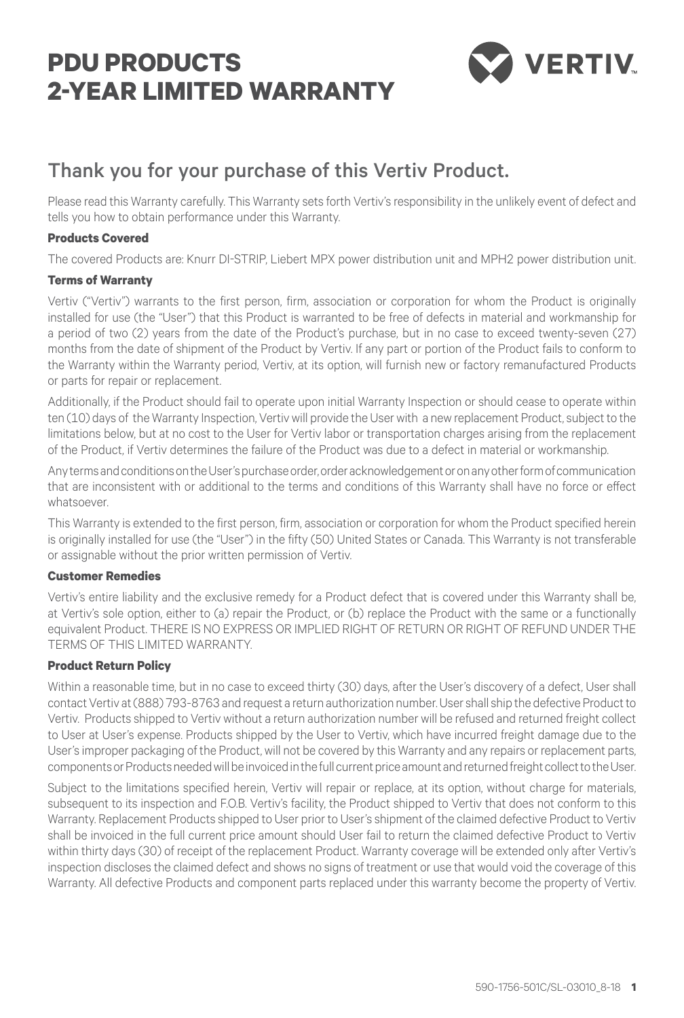# **PDU PRODUCTS 2-year limited warranty**



# Thank you for your purchase of this Vertiv Product.

Please read this Warranty carefully. This Warranty sets forth Vertiv's responsibility in the unlikely event of defect and tells you how to obtain performance under this Warranty.

# **Products Covered**

The covered Products are: Knurr Di-strip, Liebert MPX power distribution unit and MPH2 power distribution unit.

# **Terms of Warranty**

Vertiv ("Vertiv") warrants to the first person, firm, association or corporation for whom the Product is originally installed for use (the "User") that this Product is warranted to be free of defects in material and workmanship for a period of two (2) years from the date of the Product's purchase, but in no case to exceed twenty-seven (27) months from the date of shipment of the Product by Vertiv. If any part or portion of the Product fails to conform to the Warranty within the Warranty period, Vertiv, at its option, will furnish new or factory remanufactured Products or parts for repair or replacement.

Additionally, if the Product should fail to operate upon initial Warranty Inspection or should cease to operate within ten (10) days of the Warranty Inspection, Vertiv will provide the User with a new replacement Product, subject to the limitations below, but at no cost to the User for Vertiv labor or transportation charges arising from the replacement of the Product, if Vertiv determines the failure of the Product was due to a defect in material or workmanship.

Any terms and conditions on the User's purchase order, order acknowledgement or on any other form of communication that are inconsistent with or additional to the terms and conditions of this Warranty shall have no force or effect whatsoever.

This Warranty is extended to the first person, firm, association or corporation for whom the Product specified herein is originally installed for use (the "User") in the fifty (50) United States or Canada. This Warranty is not transferable or assignable without the prior written permission of Vertiv.

#### **Customer Remedies**

Vertiv's entire liability and the exclusive remedy for a Product defect that is covered under this Warranty shall be, at Vertiv's sole option, either to (a) repair the Product, or (b) replace the Product with the same or a functionally equivalent Product. THERE IS NO EXPRESS OR IMPLIED RIGHT OF RETURN OR RIGHT OF REFUND UNDER THE TERMS OF THIS LIMITED WARRANTY.

# **Product Return Policy**

Within a reasonable time, but in no case to exceed thirty (30) days, after the User's discovery of a defect, User shall contact Vertiv at (888) 793-8763 and request a return authorization number. User shall ship the defective Product to Vertiv. Products shipped to Vertiv without a return authorization number will be refused and returned freight collect to User at User's expense. Products shipped by the User to Vertiv, which have incurred freight damage due to the User's improper packaging of the Product, will not be covered by this Warranty and any repairs or replacement parts, components or Products needed will be invoiced in the full current price amount and returned freight collect to the User.

Subject to the limitations specified herein, Vertiv will repair or replace, at its option, without charge for materials, subsequent to its inspection and F.O.B. Vertiv's facility, the Product shipped to Vertiv that does not conform to this Warranty. Replacement Products shipped to User prior to User's shipment of the claimed defective Product to Vertiv shall be invoiced in the full current price amount should User fail to return the claimed defective Product to Vertiv within thirty days (30) of receipt of the replacement Product. Warranty coverage will be extended only after Vertiv's inspection discloses the claimed defect and shows no signs of treatment or use that would void the coverage of this Warranty. All defective Products and component parts replaced under this warranty become the property of Vertiv.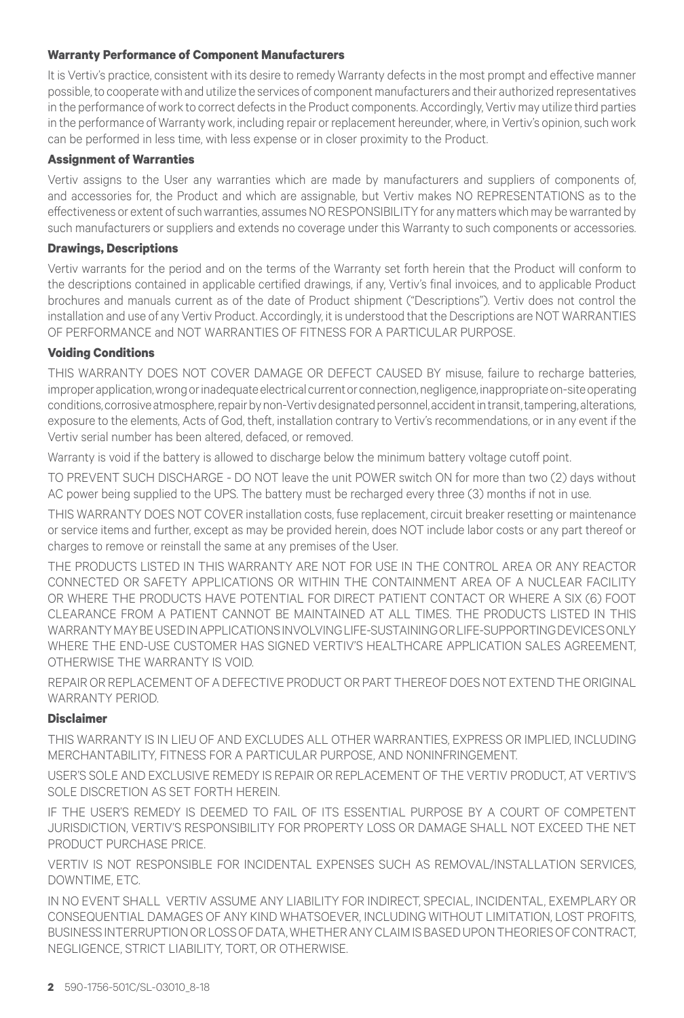### **Warranty Performance of Component Manufacturers**

It is Vertiv's practice, consistent with its desire to remedy Warranty defects in the most prompt and effective manner possible, to cooperate with and utilize the services of component manufacturers and their authorized representatives in the performance of work to correct defects in the Product components. Accordingly, Vertiv may utilize third parties in the performance of Warranty work, including repair or replacement hereunder, where, in Vertiv's opinion, such work can be performed in less time, with less expense or in closer proximity to the Product.

#### **Assignment of Warranties**

Vertiv assigns to the User any warranties which are made by manufacturers and suppliers of components of, and accessories for, the Product and which are assignable, but Vertiv makes NO REPRESENTATIONS as to the effectiveness or extent of such warranties, assumes NO RESPONSIBILITY for any matters which may be warranted by such manufacturers or suppliers and extends no coverage under this Warranty to such components or accessories.

#### **Drawings, Descriptions**

Vertiv warrants for the period and on the terms of the Warranty set forth herein that the Product will conform to the descriptions contained in applicable certified drawings, if any, Vertiv's final invoices, and to applicable Product brochures and manuals current as of the date of Product shipment ("Descriptions"). Vertiv does not control the installation and use of any Vertiv Product. Accordingly, it is understood that the Descriptions are NOT WARRANTIES OF PERFORMANCE and NOT WARRANTIES OF FITNESS FOR A PARTICULAR PURPOSE.

#### **Voiding Conditions**

THIS WARRANTY DOES NOT COVER DAMAGE OR DEFECT CAUSED BY misuse, failure to recharge batteries, improper application, wrong or inadequate electrical current or connection, negligence, inappropriate on-site operating conditions, corrosive atmosphere, repair by non-Vertiv designated personnel, accident in transit, tampering, alterations, exposure to the elements, Acts of God, theft, installation contrary to Vertiv's recommendations, or in any event if the Vertiv serial number has been altered, defaced, or removed.

Warranty is void if the battery is allowed to discharge below the minimum battery voltage cutoff point.

TO PREVENT SUCH DISCHARGE - DO NOT leave the unit POWER switch ON for more than two (2) days without AC power being supplied to the UPS. The battery must be recharged every three (3) months if not in use.

THIS WARRANTY DOES NOT COVER installation costs, fuse replacement, circuit breaker resetting or maintenance or service items and further, except as may be provided herein, does NOT include labor costs or any part thereof or charges to remove or reinstall the same at any premises of the User.

THE PRODUCTS LISTED IN THIS WARRANTY ARE NOT FOR USE IN THE CONTROL AREA OR ANY REACTOR CONNECTED OR SAFETY APPLICATIONS OR WITHIN THE CONTAINMENT AREA OF A NUCLEAR FACILITY OR WHERE THE PRODUCTS HAVE POTENTIAL FOR DIRECT PATIENT CONTACT OR WHERE A SIX (6) FOOT CLEARANCE FROM A PATIENT CANNOT BE MAINTAINED AT ALL TIMES. THE PRODUCTS LISTED IN THIS WARRANTY MAY BE USED IN APPLICATIONSINVOLVING LIFE-SUSTAINING OR LIFE-SUPPORTING DEVICES ONLY WHERE THE END-USE CUSTOMER HAS SIGNED VERTIV'S HEALTHCARE APPLICATION SALES AGREEMENT, OTHERWISE THE WARRANTY IS VOID.

REPAIR OR REPLACEMENT OF A DEFECTIVE PRODUCT OR PART THEREOF DOES NOT EXTEND THE ORIGINAL WARRANTY PERIOD.

# **Disclaimer**

THIS WARRANTY IS IN LIEU OF AND EXCLUDES ALL OTHER WARRANTIES, EXPRESS OR IMPLIED, INCLUDING MERCHANTABILITY, FITNESS FOR A PARTICULAR PURPOSE, AND NONINFRINGEMENT.

USER'S SOLE AND EXCLUSIVE REMEDY IS REPAIR OR REPLACEMENT OF THE Vertiv PRODUCT, AT Vertiv'S SOLE DISCRETION AS SET FORTH HEREIN.

IF the USER'S REMEDY IS DEEMED TO FAIL OF ITS ESSENTIAL PURPOSE BY A COURT OF COMPETENT JURISDICTION, Vertiv'S RESPONSIBILITY FOR PROPERTY LOSS OR DAMAGE SHALL NOT EXCEED THE NET PRODUCT PURCHASE PRICE.

Vertiv IS NOT RESPONSIBLE FOR INCIDENTAL EXPENSES SUCH AS REMOVAL/INSTALLATION SERVICES, DOWNTIME, ETC.

IN NO EVENT SHALL Vertiv ASSUME ANY LIABILITY FOR INDIRECT, SPECIAL, INCIDENTAL, EXEMPLARY OR CONSEQUENTIAL DAMAGES OF ANY KIND WHATSOEVER, INCLUDING WITHOUT LIMITATION, LOST PROFITS, BUSINESS INTERRUPTION OR LOSS OF DATA, WHETHER ANY CLAIM IS BASED UPON THEORIES OF CONTRACT, NEGLIGENCE, STRICT LIABILITY, TORT, OR OTHERWISE.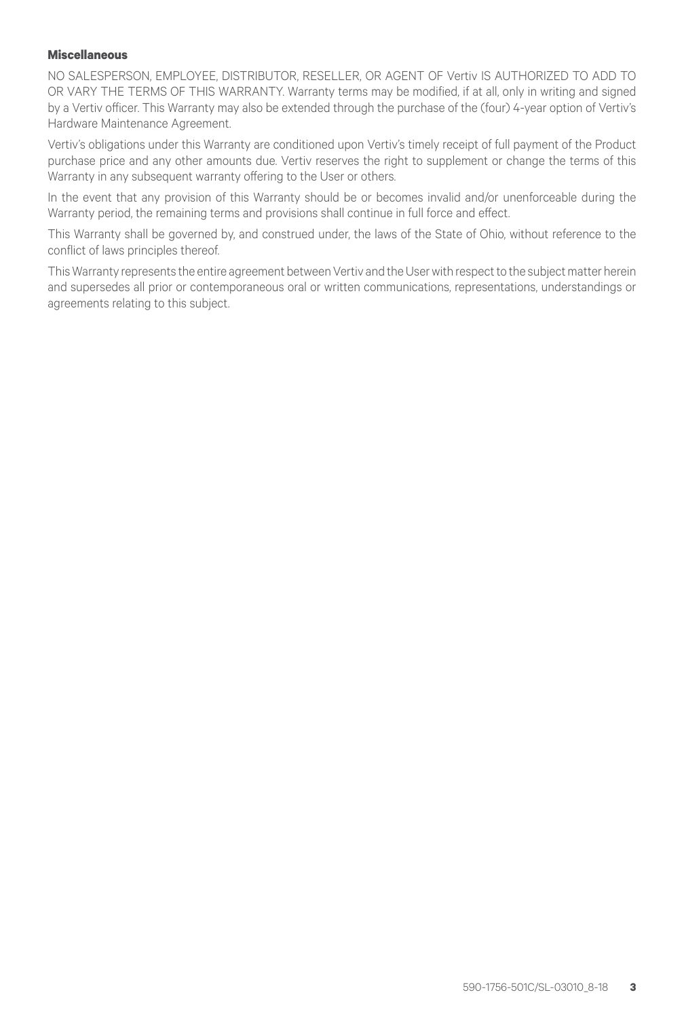#### **Miscellaneous**

NO SALESPERSON, EMPLOYEE, DISTRIBUTOR, RESELLER, OR AGENT OF Vertiv IS AUTHORIZED TO ADD TO OR VARY THE TERMS OF THIS WARRANTY. Warranty terms may be modified, if at all, only in writing and signed by a Vertiv officer. This Warranty may also be extended through the purchase of the (four) 4-year option of Vertiv's Hardware Maintenance Agreement.

Vertiv's obligations under this Warranty are conditioned upon Vertiv's timely receipt of full payment of the Product purchase price and any other amounts due. Vertiv reserves the right to supplement or change the terms of this Warranty in any subsequent warranty offering to the User or others.

In the event that any provision of this Warranty should be or becomes invalid and/or unenforceable during the Warranty period, the remaining terms and provisions shall continue in full force and effect.

This Warranty shall be governed by, and construed under, the laws of the State of Ohio, without reference to the conflict of laws principles thereof.

This Warranty represents the entire agreement between Vertiv and the User with respect to the subject matter herein and supersedes all prior or contemporaneous oral or written communications, representations, understandings or agreements relating to this subject.